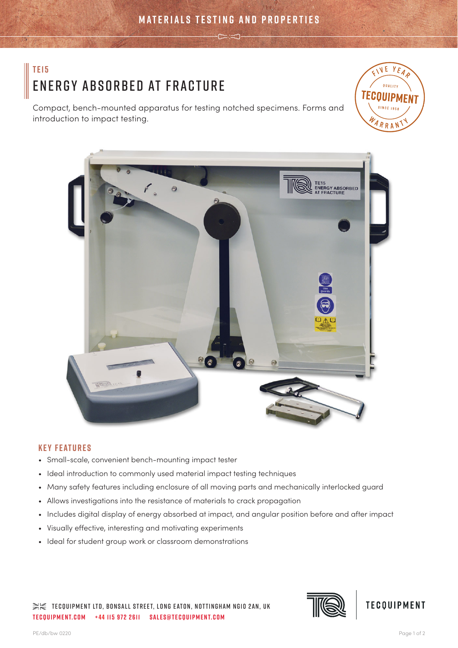# **TE15** Energy Absorbed at Fracture

Compact, bench-mounted apparatus for testing notched specimens. Forms and introduction to impact testing.





# **Key Features**

- Small-scale, convenient bench-mounting impact tester
- Ideal introduction to commonly used material impact testing techniques
- Many safety features including enclosure of all moving parts and mechanically interlocked guard
- Allows investigations into the resistance of materials to crack propagation
- Includes digital display of energy absorbed at impact, and angular position before and after impact
- Visually effective, interesting and motivating experiments
- Ideal for student group work or classroom demonstrations

 $\gg\ll$  tecquipment LTD, BONSALL STREET, LONG EATON, NOTTINGHAM NG10 2AN, UK **tecquipment.com +44 115 972 2611 sales@tecquipment.com**